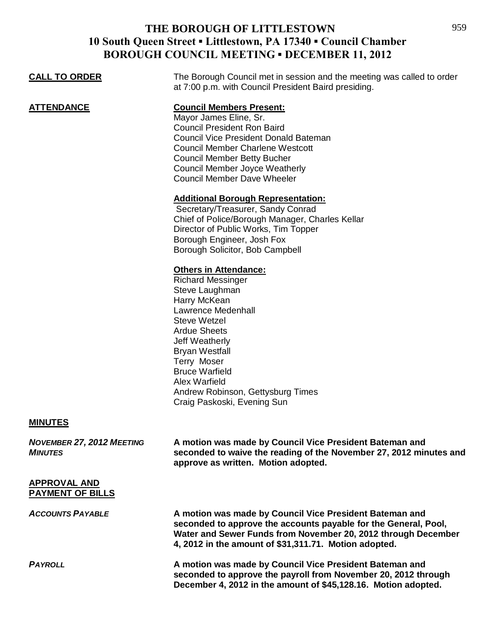| <b>CALL TO ORDER</b>                               | The Borough Council met in session and the meeting was called to order<br>at 7:00 p.m. with Council President Baird presiding.                                                                                                                                                                                                                                                                                                                                                                                             |
|----------------------------------------------------|----------------------------------------------------------------------------------------------------------------------------------------------------------------------------------------------------------------------------------------------------------------------------------------------------------------------------------------------------------------------------------------------------------------------------------------------------------------------------------------------------------------------------|
| <b>ATTENDANCE</b>                                  | <b>Council Members Present:</b><br>Mayor James Eline, Sr.<br><b>Council President Ron Baird</b><br><b>Council Vice President Donald Bateman</b><br><b>Council Member Charlene Westcott</b><br><b>Council Member Betty Bucher</b><br><b>Council Member Joyce Weatherly</b><br><b>Council Member Dave Wheeler</b><br><b>Additional Borough Representation:</b><br>Secretary/Treasurer, Sandy Conrad<br>Chief of Police/Borough Manager, Charles Kellar<br>Director of Public Works, Tim Topper<br>Borough Engineer, Josh Fox |
|                                                    | Borough Solicitor, Bob Campbell<br><b>Others in Attendance:</b><br><b>Richard Messinger</b><br>Steve Laughman<br>Harry McKean<br>Lawrence Medenhall<br>Steve Wetzel<br><b>Ardue Sheets</b><br>Jeff Weatherly<br><b>Bryan Westfall</b><br>Terry Moser<br><b>Bruce Warfield</b><br>Alex Warfield<br>Andrew Robinson, Gettysburg Times<br>Craig Paskoski, Evening Sun                                                                                                                                                         |
| <b>MINUTES</b>                                     |                                                                                                                                                                                                                                                                                                                                                                                                                                                                                                                            |
| <b>NOVEMBER 27, 2012 MEETING</b><br><b>MINUTES</b> | A motion was made by Council Vice President Bateman and<br>seconded to waive the reading of the November 27, 2012 minutes and<br>approve as written. Motion adopted.                                                                                                                                                                                                                                                                                                                                                       |
| <b>APPROVAL AND</b><br><b>PAYMENT OF BILLS</b>     |                                                                                                                                                                                                                                                                                                                                                                                                                                                                                                                            |
| <b>ACCOUNTS PAYABLE</b>                            | A motion was made by Council Vice President Bateman and<br>seconded to approve the accounts payable for the General, Pool,<br>Water and Sewer Funds from November 20, 2012 through December<br>4, 2012 in the amount of \$31,311.71. Motion adopted.                                                                                                                                                                                                                                                                       |

*PAYROLL* **A motion was made by Council Vice President Bateman and seconded to approve the payroll from November 20, 2012 through December 4, 2012 in the amount of \$45,128.16. Motion adopted.**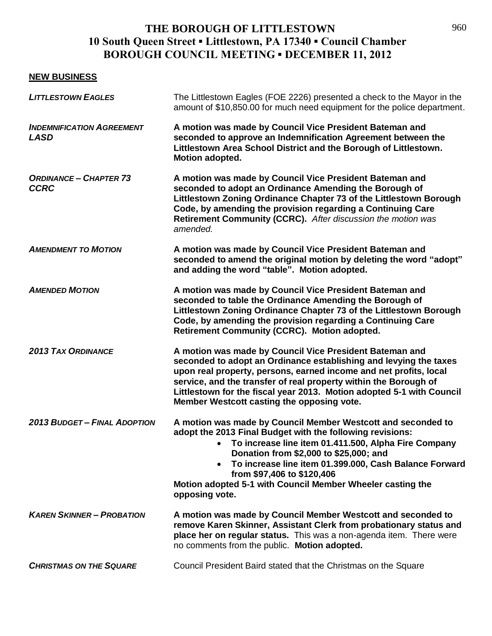#### **NEW BUSINESS**

| <b>LITTLESTOWN EAGLES</b>                       | The Littlestown Eagles (FOE 2226) presented a check to the Mayor in the<br>amount of \$10,850.00 for much need equipment for the police department.                                                                                                                                                                                                                                                                |
|-------------------------------------------------|--------------------------------------------------------------------------------------------------------------------------------------------------------------------------------------------------------------------------------------------------------------------------------------------------------------------------------------------------------------------------------------------------------------------|
| <b>INDEMNIFICATION AGREEMENT</b><br><b>LASD</b> | A motion was made by Council Vice President Bateman and<br>seconded to approve an Indemnification Agreement between the<br>Littlestown Area School District and the Borough of Littlestown.<br>Motion adopted.                                                                                                                                                                                                     |
| <b>ORDINANCE - CHAPTER 73</b><br><b>CCRC</b>    | A motion was made by Council Vice President Bateman and<br>seconded to adopt an Ordinance Amending the Borough of<br>Littlestown Zoning Ordinance Chapter 73 of the Littlestown Borough<br>Code, by amending the provision regarding a Continuing Care<br>Retirement Community (CCRC). After discussion the motion was<br>amended.                                                                                 |
| <b>AMENDMENT TO MOTION</b>                      | A motion was made by Council Vice President Bateman and<br>seconded to amend the original motion by deleting the word "adopt"<br>and adding the word "table". Motion adopted.                                                                                                                                                                                                                                      |
| <b>AMENDED MOTION</b>                           | A motion was made by Council Vice President Bateman and<br>seconded to table the Ordinance Amending the Borough of<br>Littlestown Zoning Ordinance Chapter 73 of the Littlestown Borough<br>Code, by amending the provision regarding a Continuing Care<br>Retirement Community (CCRC). Motion adopted.                                                                                                            |
| <b>2013 TAX ORDINANCE</b>                       | A motion was made by Council Vice President Bateman and<br>seconded to adopt an Ordinance establishing and levying the taxes<br>upon real property, persons, earned income and net profits, local<br>service, and the transfer of real property within the Borough of<br>Littlestown for the fiscal year 2013. Motion adopted 5-1 with Council<br>Member Westcott casting the opposing vote.                       |
| <b>2013 BUDGET - FINAL ADOPTION</b>             | A motion was made by Council Member Westcott and seconded to<br>adopt the 2013 Final Budget with the following revisions:<br>• To increase line item 01.411.500, Alpha Fire Company<br>Donation from \$2,000 to \$25,000; and<br>To increase line item 01.399.000, Cash Balance Forward<br>$\bullet$<br>from \$97,406 to \$120,406<br>Motion adopted 5-1 with Council Member Wheeler casting the<br>opposing vote. |
| <b>KAREN SKINNER - PROBATION</b>                | A motion was made by Council Member Westcott and seconded to<br>remove Karen Skinner, Assistant Clerk from probationary status and<br>place her on regular status. This was a non-agenda item. There were<br>no comments from the public. Motion adopted.                                                                                                                                                          |
| <b>CHRISTMAS ON THE SQUARE</b>                  | Council President Baird stated that the Christmas on the Square                                                                                                                                                                                                                                                                                                                                                    |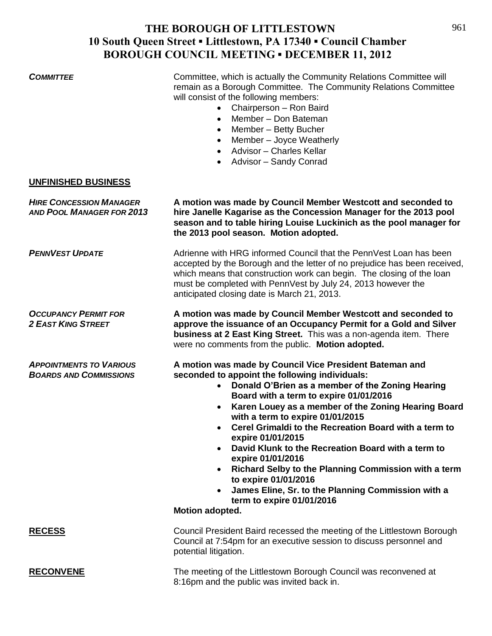**COMMITTEE** Committee, which is actually the Community Relations Committee will remain as a Borough Committee. The Community Relations Committee will consist of the following members:

- Chairperson Ron Baird
- Member Don Bateman
- Member Betty Bucher
- Member Joyce Weatherly
- Advisor Charles Kellar
- Advisor Sandy Conrad

#### **UNFINISHED BUSINESS**

*HIRE CONCESSION MANAGER* **A motion was made by Council Member Westcott and seconded to** *AND POOL MANAGER FOR 2013* **hire Janelle Kagarise as the Concession Manager for the 2013 pool season and to table hiring Louise Luckinich as the pool manager for the 2013 pool season. Motion adopted. PENNVEST UPDATE** Adrienne with HRG informed Council that the PennVest Loan has been accepted by the Borough and the letter of no prejudice has been received, which means that construction work can begin. The closing of the loan must be completed with PennVest by July 24, 2013 however the anticipated closing date is March 21, 2013. *OCCUPANCY PERMIT FOR* **A motion was made by Council Member Westcott and seconded to**  *2 EAST KING STREET* **approve the issuance of an Occupancy Permit for a Gold and Silver business at 2 East King Street.** This was a non-agenda item. There were no comments from the public. **Motion adopted.** *APPOINTMENTS TO VARIOUS* **A motion was made by Council Vice President Bateman and**  *BOARDS AND COMMISSIONS* **seconded to appoint the following individuals: Donald O'Brien as a member of the Zoning Hearing Board with a term to expire 01/01/2016 Karen Louey as a member of the Zoning Hearing Board with a term to expire 01/01/2015 Cerel Grimaldi to the Recreation Board with a term to expire 01/01/2015 David Klunk to the Recreation Board with a term to expire 01/01/2016 Richard Selby to the Planning Commission with a term to expire 01/01/2016 James Eline, Sr. to the Planning Commission with a term to expire 01/01/2016 Motion adopted. RECESS** Council President Baird recessed the meeting of the Littlestown Borough Council at 7:54pm for an executive session to discuss personnel and potential litigation. **RECONVENE** The meeting of the Littlestown Borough Council was reconvened at 8:16pm and the public was invited back in.